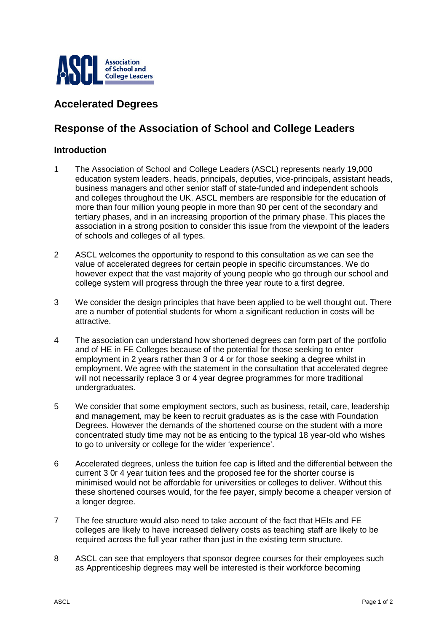

## **Accelerated Degrees**

## **Response of the Association of School and College Leaders**

## **Introduction**

- 1 The Association of School and College Leaders (ASCL) represents nearly 19,000 education system leaders, heads, principals, deputies, vice-principals, assistant heads, business managers and other senior staff of state-funded and independent schools and colleges throughout the UK. ASCL members are responsible for the education of more than four million young people in more than 90 per cent of the secondary and tertiary phases, and in an increasing proportion of the primary phase. This places the association in a strong position to consider this issue from the viewpoint of the leaders of schools and colleges of all types.
- 2 ASCL welcomes the opportunity to respond to this consultation as we can see the value of accelerated degrees for certain people in specific circumstances. We do however expect that the vast majority of young people who go through our school and college system will progress through the three year route to a first degree.
- 3 We consider the design principles that have been applied to be well thought out. There are a number of potential students for whom a significant reduction in costs will be attractive.
- 4 The association can understand how shortened degrees can form part of the portfolio and of HE in FE Colleges because of the potential for those seeking to enter employment in 2 years rather than 3 or 4 or for those seeking a degree whilst in employment. We agree with the statement in the consultation that accelerated degree will not necessarily replace 3 or 4 year degree programmes for more traditional undergraduates.
- 5 We consider that some employment sectors, such as business, retail, care, leadership and management, may be keen to recruit graduates as is the case with Foundation Degrees. However the demands of the shortened course on the student with a more concentrated study time may not be as enticing to the typical 18 year-old who wishes to go to university or college for the wider 'experience'.
- 6 Accelerated degrees, unless the tuition fee cap is lifted and the differential between the current 3 0r 4 year tuition fees and the proposed fee for the shorter course is minimised would not be affordable for universities or colleges to deliver. Without this these shortened courses would, for the fee payer, simply become a cheaper version of a longer degree.
- 7 The fee structure would also need to take account of the fact that HEIs and FE colleges are likely to have increased delivery costs as teaching staff are likely to be required across the full year rather than just in the existing term structure.
- 8 ASCL can see that employers that sponsor degree courses for their employees such as Apprenticeship degrees may well be interested is their workforce becoming